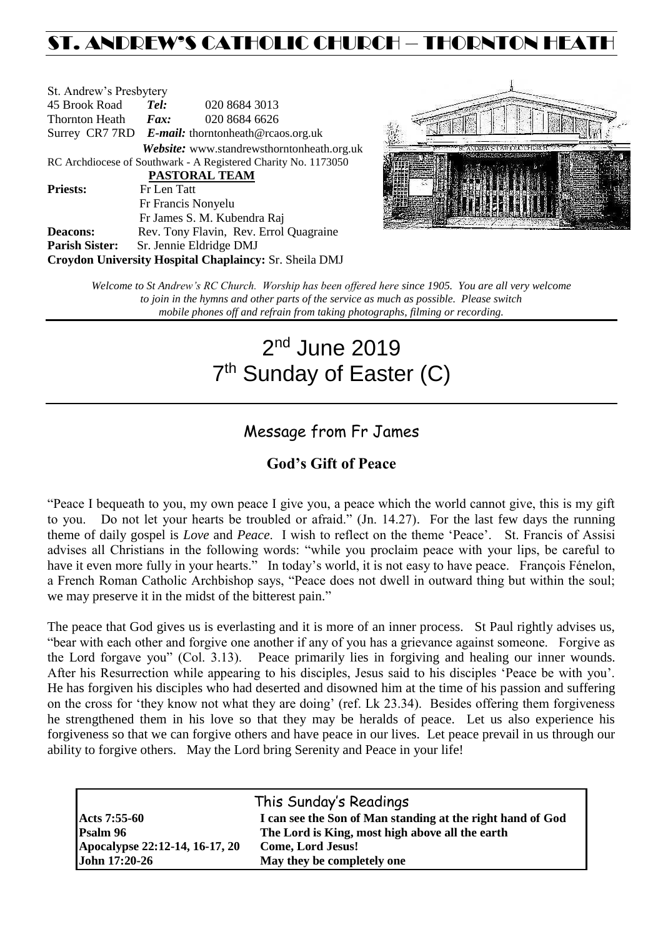## ST. ANDREW'S CATHOLIC CHURCH – THORNTON HEATH

| St. Andrew's Presbytery                                        |                     |                                                   |  |  |
|----------------------------------------------------------------|---------------------|---------------------------------------------------|--|--|
| 45 Brook Road                                                  | Tel:                | 020 8684 3013                                     |  |  |
| Thornton Heath                                                 | $\boldsymbol{Fax:}$ | 020 8684 6626                                     |  |  |
|                                                                |                     | Surrey CR7 7RD E-mail: thorntonheath@rcaos.org.uk |  |  |
|                                                                |                     | Website: www.standrewsthorntonheath.org.uk        |  |  |
| RC Archdiocese of Southwark - A Registered Charity No. 1173050 |                     |                                                   |  |  |
| PASTORAL TEAM                                                  |                     |                                                   |  |  |
| <b>Priests:</b>                                                | Fr Len Tatt         |                                                   |  |  |
|                                                                |                     | Fr Francis Nonyelu                                |  |  |
|                                                                |                     | Fr James S. M. Kubendra Raj                       |  |  |
| <b>Deacons:</b>                                                |                     | Rev. Tony Flavin, Rev. Errol Quagraine            |  |  |
| <b>Parish Sister:</b>                                          |                     | Sr. Jennie Eldridge DMJ                           |  |  |
| Croydon University Hospital Chaplaincy: Sr. Sheila DMJ         |                     |                                                   |  |  |



*Welcome to St Andrew's RC Church. Worship has been offered here since 1905. You are all very welcome to join in the hymns and other parts of the service as much as possible. Please switch mobile phones off and refrain from taking photographs, filming or recording.*

# 2<sup>nd</sup> June 2019 7<sup>th</sup> Sunday of Easter (C)

### Message from Fr James

### **God's Gift of Peace**

"Peace I bequeath to you, my own peace I give you, a peace which the world cannot give, this is my gift to you. Do not let your hearts be troubled or afraid." (Jn. 14.27). For the last few days the running theme of daily gospel is *Love* and *Peace*. I wish to reflect on the theme 'Peace'. St. Francis of Assisi advises all Christians in the following words: "while you proclaim peace with your lips, be careful to have it even more fully in your hearts." In today's world, it is not easy to have peace. François Fénelon, a French Roman Catholic Archbishop says, "Peace does not dwell in outward thing but within the soul; we may preserve it in the midst of the bitterest pain."

The peace that God gives us is everlasting and it is more of an inner process. St Paul rightly advises us, "bear with each other and forgive one another if any of you has a grievance against someone. Forgive as the Lord forgave you" (Col. 3.13). Peace primarily lies in forgiving and healing our inner wounds. After his Resurrection while appearing to his disciples, Jesus said to his disciples 'Peace be with you'. He has forgiven his disciples who had deserted and disowned him at the time of his passion and suffering on the cross for 'they know not what they are doing' (ref. Lk 23.34). Besides offering them forgiveness he strengthened them in his love so that they may be heralds of peace. Let us also experience his forgiveness so that we can forgive others and have peace in our lives. Let peace prevail in us through our ability to forgive others. May the Lord bring Serenity and Peace in your life!

|                                | This Sunday's Readings                                     |
|--------------------------------|------------------------------------------------------------|
| <b>Acts</b> 7:55-60            | I can see the Son of Man standing at the right hand of God |
| Psalm 96                       | The Lord is King, most high above all the earth            |
| Apocalypse 22:12-14, 16-17, 20 | <b>Come, Lord Jesus!</b>                                   |
| John 17:20-26                  | May they be completely one                                 |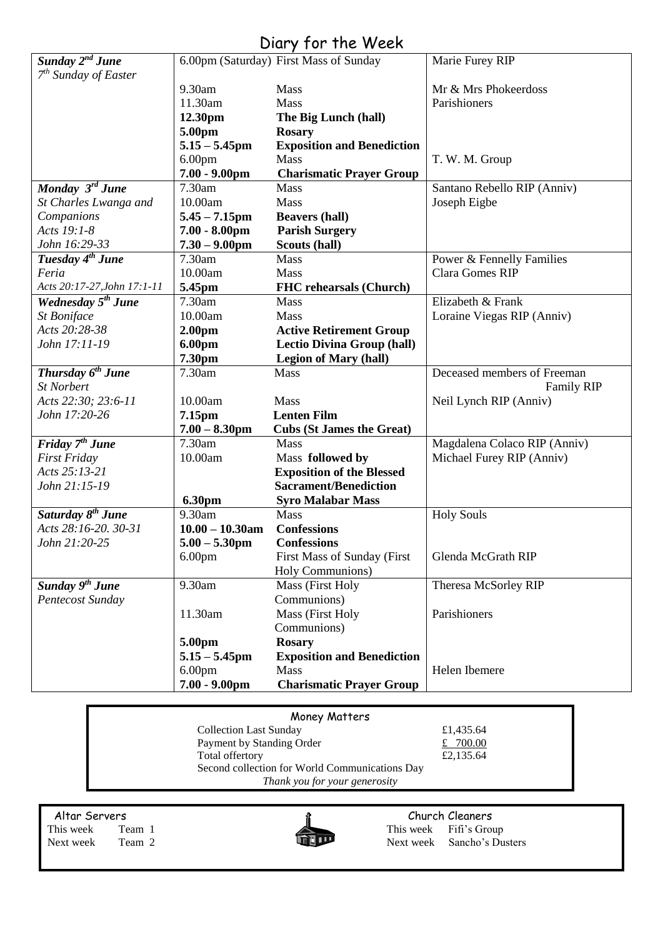### Diary for the Week

|                                |                    | $U(1)$ $V(2)$ $V(3)$                   |                              |
|--------------------------------|--------------------|----------------------------------------|------------------------------|
| Sunday 2 <sup>nd</sup> June    |                    | 6.00pm (Saturday) First Mass of Sunday | Marie Furey RIP              |
| $7th$ Sunday of Easter         |                    |                                        |                              |
|                                | 9.30am             | Mass                                   | Mr & Mrs Phokeerdoss         |
|                                | 11.30am            | <b>Mass</b>                            | Parishioners                 |
|                                | 12.30pm            | The Big Lunch (hall)                   |                              |
|                                | 5.00pm             | <b>Rosary</b>                          |                              |
|                                | $5.15 - 5.45$ pm   | <b>Exposition and Benediction</b>      |                              |
|                                | 6.00 <sub>pm</sub> | <b>Mass</b>                            | T. W. M. Group               |
|                                | $7.00 - 9.00$ pm   | <b>Charismatic Prayer Group</b>        |                              |
| Monday 3rd June                | 7.30am             | Mass                                   | Santano Rebello RIP (Anniv)  |
| St Charles Lwanga and          | 10.00am            | Mass                                   | Joseph Eigbe                 |
| Companions                     | $5.45 - 7.15$ pm   | <b>Beavers (hall)</b>                  |                              |
| Acts 19:1-8                    | $7.00 - 8.00$ pm   | <b>Parish Surgery</b>                  |                              |
| John 16:29-33                  | $7.30 - 9.00$ pm   | Scouts (hall)                          |                              |
| Tuesday 4 <sup>th</sup> June   | 7.30am             | Mass                                   | Power & Fennelly Families    |
| Feria                          | 10.00am            | <b>Mass</b>                            | Clara Gomes RIP              |
| Acts 20:17-27, John 17:1-11    | 5.45pm             | <b>FHC</b> rehearsals (Church)         |                              |
| Wednesday 5 <sup>th</sup> June | 7.30am             | Mass                                   | Elizabeth & Frank            |
| <b>St Boniface</b>             | 10.00am            | Mass                                   | Loraine Viegas RIP (Anniv)   |
| Acts 20:28-38                  | 2.00 <sub>pm</sub> | <b>Active Retirement Group</b>         |                              |
| John 17:11-19                  | 6.00pm             | <b>Lectio Divina Group (hall)</b>      |                              |
|                                | 7.30pm             | <b>Legion of Mary (hall)</b>           |                              |
| Thursday $6^{th}$ June         | 7.30am             | Mass                                   | Deceased members of Freeman  |
| <b>St Norbert</b>              |                    |                                        | <b>Family RIP</b>            |
| Acts 22:30; 23:6-11            | 10.00am            | <b>Mass</b>                            | Neil Lynch RIP (Anniv)       |
| John 17:20-26                  | 7.15pm             | <b>Lenten Film</b>                     |                              |
|                                | $7.00 - 8.30$ pm   | <b>Cubs (St James the Great)</b>       |                              |
| Friday 7 <sup>th</sup> June    | 7.30am             | Mass                                   | Magdalena Colaco RIP (Anniv) |
| <b>First Friday</b>            | 10.00am            | Mass followed by                       | Michael Furey RIP (Anniv)    |
| Acts 25:13-21                  |                    | <b>Exposition of the Blessed</b>       |                              |
| John 21:15-19                  |                    | <b>Sacrament/Benediction</b>           |                              |
|                                | <b>6.30pm</b>      | <b>Syro Malabar Mass</b>               |                              |
| Saturday 8 <sup>th</sup> June  | 9.30am             | Mass                                   | <b>Holy Souls</b>            |
| Acts 28:16-20. 30-31           | $10.00 - 10.30$ am | <b>Confessions</b>                     |                              |
| John 21:20-25                  | $5.00 - 5.30$ pm   | <b>Confessions</b>                     |                              |
|                                | 6.00 <sub>pm</sub> | First Mass of Sunday (First            | Glenda McGrath RIP           |
|                                |                    | Holy Communions)                       |                              |
| Sunday 9 <sup>th</sup> June    | 9.30am             | Mass (First Holy                       | Theresa McSorley RIP         |
| Pentecost Sunday               |                    | Communions)                            |                              |
|                                | 11.30am            | Mass (First Holy                       | Parishioners                 |
|                                |                    |                                        |                              |
|                                |                    | Communions)                            |                              |
|                                | 5.00pm             | <b>Rosary</b>                          |                              |
|                                | $5.15 - 5.45$ pm   | <b>Exposition and Benediction</b>      |                              |
|                                | 6.00 <sub>pm</sub> | Mass                                   | Helen Ibemere                |
|                                | $7.00 - 9.00$ pm   | <b>Charismatic Prayer Group</b>        |                              |

| Money Matters                                  |           |  |  |  |
|------------------------------------------------|-----------|--|--|--|
| <b>Collection Last Sunday</b>                  | £1,435.64 |  |  |  |
| Payment by Standing Order                      | £ 700.00  |  |  |  |
| Total offertory                                | £2,135.64 |  |  |  |
| Second collection for World Communications Day |           |  |  |  |
| Thank you for your generosity                  |           |  |  |  |

Altar Servers **Church Cleaners Church Cleaners** 



This week Team 1 This week Fifi's Group<br>Next week Team 2 Next week Sancho's Du Next week Sancho's Dusters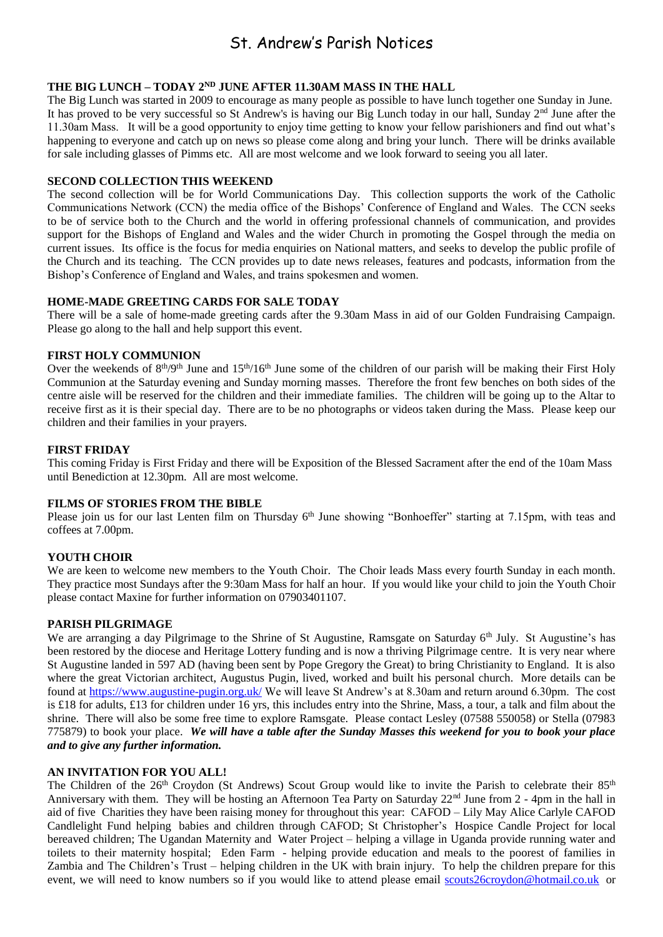### St. Andrew's Parish Notices

#### **THE BIG LUNCH – TODAY 2ND JUNE AFTER 11.30AM MASS IN THE HALL**

The Big Lunch was started in 2009 to encourage as many people as possible to have lunch together one Sunday in June. It has proved to be very successful so St Andrew's is having our Big Lunch today in our hall, Sunday 2<sup>nd</sup> June after the 11.30am Mass. It will be a good opportunity to enjoy time getting to know your fellow parishioners and find out what's happening to everyone and catch up on news so please come along and bring your lunch. There will be drinks available for sale including glasses of Pimms etc. All are most welcome and we look forward to seeing you all later.

#### **SECOND COLLECTION THIS WEEKEND**

The second collection will be for World Communications Day. This collection supports the work of the Catholic Communications Network (CCN) the media office of the Bishops' Conference of England and Wales. The CCN seeks to be of service both to the Church and the world in offering professional channels of communication, and provides support for the Bishops of England and Wales and the wider Church in promoting the Gospel through the media on current issues. Its office is the focus for media enquiries on National matters, and seeks to develop the public profile of the Church and its teaching. The CCN provides up to date news releases, features and podcasts, information from the Bishop's Conference of England and Wales, and trains spokesmen and women.

#### **HOME-MADE GREETING CARDS FOR SALE TODAY**

There will be a sale of home-made greeting cards after the 9.30am Mass in aid of our Golden Fundraising Campaign. Please go along to the hall and help support this event.

#### **FIRST HOLY COMMUNION**

Over the weekends of  $8<sup>th</sup>/9<sup>th</sup>$  June and  $15<sup>th</sup>/16<sup>th</sup>$  June some of the children of our parish will be making their First Holy Communion at the Saturday evening and Sunday morning masses. Therefore the front few benches on both sides of the centre aisle will be reserved for the children and their immediate families. The children will be going up to the Altar to receive first as it is their special day. There are to be no photographs or videos taken during the Mass. Please keep our children and their families in your prayers.

#### **FIRST FRIDAY**

This coming Friday is First Friday and there will be Exposition of the Blessed Sacrament after the end of the 10am Mass until Benediction at 12.30pm. All are most welcome.

#### **FILMS OF STORIES FROM THE BIBLE**

Please join us for our last Lenten film on Thursday 6<sup>th</sup> June showing "Bonhoeffer" starting at 7.15pm, with teas and coffees at 7.00pm.

#### **YOUTH CHOIR**

We are keen to welcome new members to the Youth Choir. The Choir leads Mass every fourth Sunday in each month. They practice most Sundays after the 9:30am Mass for half an hour. If you would like your child to join the Youth Choir please contact Maxine for further information on 07903401107.

#### **PARISH PILGRIMAGE**

We are arranging a day Pilgrimage to the Shrine of St Augustine, Ramsgate on Saturday 6th July. St Augustine's has been restored by the diocese and Heritage Lottery funding and is now a thriving Pilgrimage centre. It is very near where St Augustine landed in 597 AD (having been sent by Pope Gregory the Great) to bring Christianity to England. It is also where the great Victorian architect, Augustus Pugin, lived, worked and built his personal church. More details can be found at<https://www.augustine-pugin.org.uk/> We will leave St Andrew's at 8.30am and return around 6.30pm. The cost is £18 for adults, £13 for children under 16 yrs, this includes entry into the Shrine, Mass, a tour, a talk and film about the shrine. There will also be some free time to explore Ramsgate. Please contact Lesley (07588 550058) or Stella (07983 775879) to book your place. *We will have a table after the Sunday Masses this weekend for you to book your place and to give any further information.*

#### **AN INVITATION FOR YOU ALL!**

The Children of the 26<sup>th</sup> Croydon (St Andrews) Scout Group would like to invite the Parish to celebrate their 85<sup>th</sup> Anniversary with them. They will be hosting an Afternoon Tea Party on Saturday 22<sup>nd</sup> June from 2 - 4pm in the hall in aid of five Charities they have been raising money for throughout this year: CAFOD – Lily May Alice Carlyle CAFOD Candlelight Fund helping babies and children through CAFOD; St Christopher's Hospice Candle Project for local bereaved children; The Ugandan Maternity and Water Project – helping a village in Uganda provide running water and toilets to their maternity hospital; Eden Farm - helping provide education and meals to the poorest of families in Zambia and The Children's Trust – helping children in the UK with brain injury. To help the children prepare for this event, we will need to know numbers so if you would like to attend please email [scouts26croydon@hotmail.co.uk](mailto:scouts26croydon@hotmail.co.uk) or